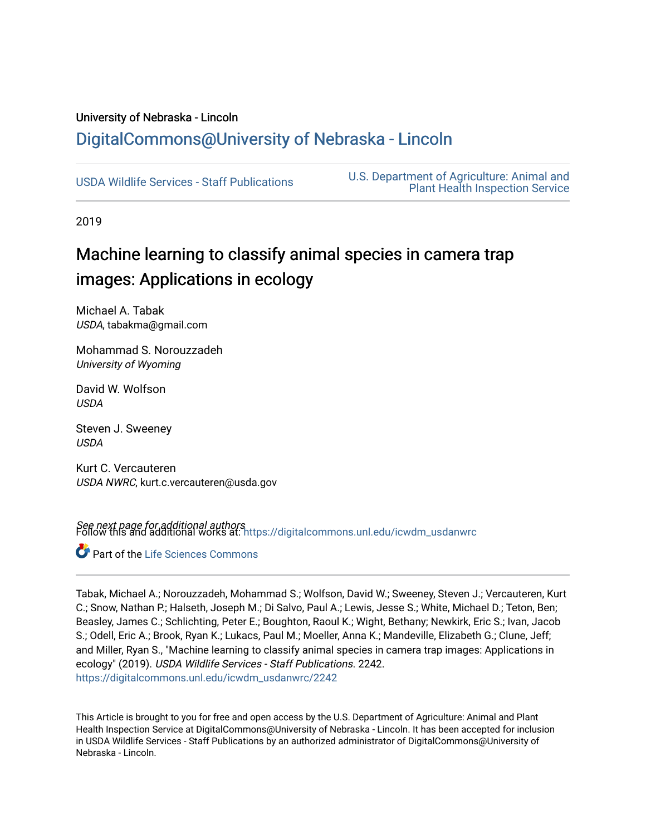# University of Nebraska - Lincoln [DigitalCommons@University of Nebraska - Lincoln](https://digitalcommons.unl.edu/)

[USDA Wildlife Services - Staff Publications](https://digitalcommons.unl.edu/icwdm_usdanwrc) [U.S. Department of Agriculture: Animal and](https://digitalcommons.unl.edu/usdaaphis)  [Plant Health Inspection Service](https://digitalcommons.unl.edu/usdaaphis) 

2019

# Machine learning to classify animal species in camera trap images: Applications in ecology

Michael A. Tabak USDA, tabakma@gmail.com

Mohammad S. Norouzzadeh University of Wyoming

David W. Wolfson **USDA** 

Steven J. Sweeney USDA

Kurt C. Vercauteren USDA NWRC, kurt.c.vercauteren@usda.gov

**See next page for additional authors**<br>Follow this and additional works at: [https://digitalcommons.unl.edu/icwdm\\_usdanwrc](https://digitalcommons.unl.edu/icwdm_usdanwrc?utm_source=digitalcommons.unl.edu%2Ficwdm_usdanwrc%2F2242&utm_medium=PDF&utm_campaign=PDFCoverPages)

Part of the [Life Sciences Commons](http://network.bepress.com/hgg/discipline/1016?utm_source=digitalcommons.unl.edu%2Ficwdm_usdanwrc%2F2242&utm_medium=PDF&utm_campaign=PDFCoverPages) 

Tabak, Michael A.; Norouzzadeh, Mohammad S.; Wolfson, David W.; Sweeney, Steven J.; Vercauteren, Kurt C.; Snow, Nathan P.; Halseth, Joseph M.; Di Salvo, Paul A.; Lewis, Jesse S.; White, Michael D.; Teton, Ben; Beasley, James C.; Schlichting, Peter E.; Boughton, Raoul K.; Wight, Bethany; Newkirk, Eric S.; Ivan, Jacob S.; Odell, Eric A.; Brook, Ryan K.; Lukacs, Paul M.; Moeller, Anna K.; Mandeville, Elizabeth G.; Clune, Jeff; and Miller, Ryan S., "Machine learning to classify animal species in camera trap images: Applications in ecology" (2019). USDA Wildlife Services - Staff Publications. 2242. [https://digitalcommons.unl.edu/icwdm\\_usdanwrc/2242](https://digitalcommons.unl.edu/icwdm_usdanwrc/2242?utm_source=digitalcommons.unl.edu%2Ficwdm_usdanwrc%2F2242&utm_medium=PDF&utm_campaign=PDFCoverPages) 

This Article is brought to you for free and open access by the U.S. Department of Agriculture: Animal and Plant Health Inspection Service at DigitalCommons@University of Nebraska - Lincoln. It has been accepted for inclusion in USDA Wildlife Services - Staff Publications by an authorized administrator of DigitalCommons@University of Nebraska - Lincoln.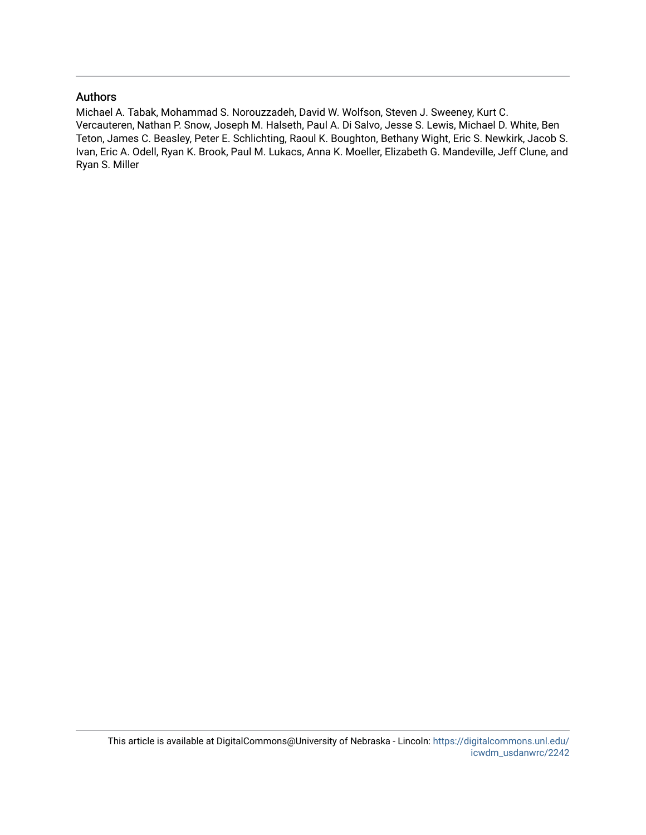# Authors

Michael A. Tabak, Mohammad S. Norouzzadeh, David W. Wolfson, Steven J. Sweeney, Kurt C. Vercauteren, Nathan P. Snow, Joseph M. Halseth, Paul A. Di Salvo, Jesse S. Lewis, Michael D. White, Ben Teton, James C. Beasley, Peter E. Schlichting, Raoul K. Boughton, Bethany Wight, Eric S. Newkirk, Jacob S. Ivan, Eric A. Odell, Ryan K. Brook, Paul M. Lukacs, Anna K. Moeller, Elizabeth G. Mandeville, Jeff Clune, and Ryan S. Miller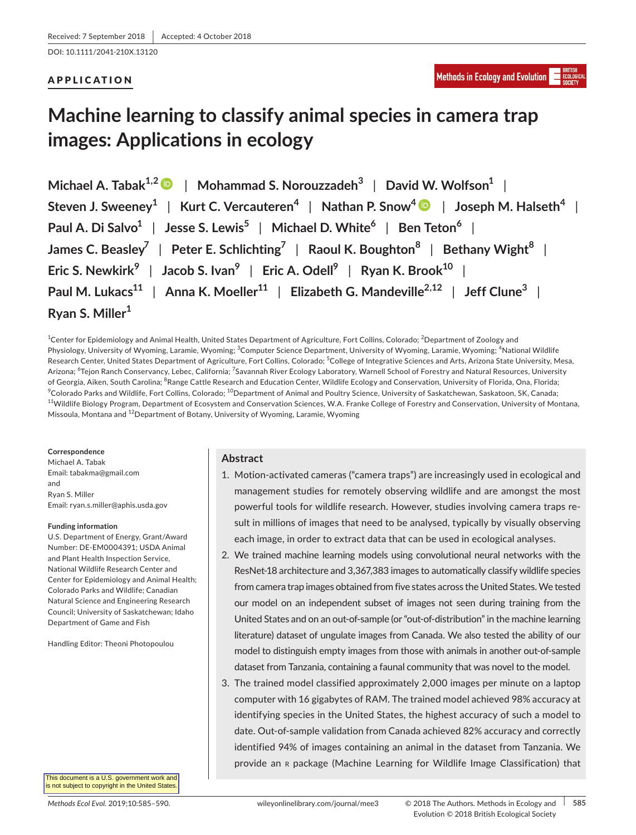DOI: 10.1111/2041-210X.13120

# APPLICATION

# **Machine learning to classify animal species in camera trap images: Applications in ecology**

**Michael A. Tabak1,[2](http://orcid.org/0000-0002-2986-7885)** | **Mohammad S. Norouzzadeh<sup>3</sup>** | **David W. Wolfson<sup>1</sup>** | **Steven J. Sweeney<sup>1</sup>** | **Kurt C. Vercauteren<sup>4</sup>** | **Nathan P. Snow<sup>4</sup>** | **Joseph M. Halseth<sup>4</sup>** | **Paul A. Di Salvo<sup>1</sup>** | **Jesse S. Lewis<sup>5</sup>** | **Michael D. White<sup>6</sup>** | **Ben Teton<sup>6</sup>** | **James C. Beasley<sup>7</sup>** | **Peter E. Schlichting<sup>7</sup>** | **Raoul K. Boughton<sup>8</sup>** | **Bethany Wight<sup>8</sup>** | **Eric S. Newkirk<sup>9</sup>** | **Jacob S. Ivan<sup>9</sup>** | **Eric A. Odell<sup>9</sup>** | **Ryan K. Brook<sup>10</sup>** | **Paul M. Lukacs<sup>11</sup>** | **Anna K. Moeller<sup>11</sup>** | **Elizabeth G. Mandeville2,12** | **Jeff Clune<sup>3</sup>** | **Ryan S. Miller<sup>1</sup>**

<sup>1</sup>Center for Epidemiology and Animal Health, United States Department of Agriculture, Fort Collins, Colorado; <sup>2</sup>Department of Zoology and Physiology, University of Wyoming, Laramie, Wyoming; <sup>3</sup>Computer Science Department, University of Wyoming, Laramie, Wyoming; <sup>4</sup>National Wildlife Research Center, United States Department of Agriculture, Fort Collins, Colorado; <sup>5</sup>College of Integrative Sciences and Arts, Arizona State University, Mesa, Arizona; <sup>6</sup>Tejon Ranch Conservancy, Lebec, California; <sup>7</sup>Savannah River Ecology Laboratory, Warnell School of Forestry and Natural Resources, University of Georgia, Aiken, South Carolina; <sup>8</sup>Range Cattle Research and Education Center, Wildlife Ecology and Conservation, University of Florida, Ona, Florida;  $^9$ Colorado Parks and Wildlife, Fort Collins, Colorado;  $^{10}$ Department of Animal and Poultry Science, University of Saskatchewan, Saskatoon, SK, Canada; <sup>11</sup>Wildlife Biology Program, Department of Ecosystem and Conservation Sciences, W.A. Franke College of Forestry and Conservation, University of Montana, Missoula, Montana and <sup>12</sup>Department of Botany, University of Wyoming, Laramie, Wyoming

### **Correspondence**

Michael A. Tabak Email: [tabakma@gmail.com](mailto:tabakma@gmail.com) and Ryan S. Miller Email: [ryan.s.miller@aphis.usda.gov](mailto:ryan.s.miller@aphis.usda.gov)

### **Funding information**

U.S. Department of Energy, Grant/Award Number: DE-EM0004391; USDA Animal and Plant Health Inspection Service, National Wildlife Research Center and Center for Epidemiology and Animal Health; Colorado Parks and Wildlife; Canadian Natural Science and Engineering Research Council; University of Saskatchewan; Idaho Department of Game and Fish

Handling Editor: Theoni Photopoulou

This document is a U.S. government work and is not subject to copyright in the United States

# **Abstract**

- 1. Motion-activated cameras ("camera traps") are increasingly used in ecological and management studies for remotely observing wildlife and are amongst the most powerful tools for wildlife research. However, studies involving camera traps result in millions of images that need to be analysed, typically by visually observing each image, in order to extract data that can be used in ecological analyses.
- 2. We trained machine learning models using convolutional neural networks with the ResNet-18 architecture and 3,367,383 images to automatically classify wildlife species from camera trap images obtained from five states across the United States.We tested our model on an independent subset of images not seen during training from the United States and on an out-of-sample (or "out-of-distribution" in the machine learning literature) dataset of ungulate images from Canada. We also tested the ability of our model to distinguish empty images from those with animals in another out-of-sample dataset from Tanzania, containing a faunal community that was novel to the model.
- 3. The trained model classified approximately 2,000 images per minute on a laptop computer with 16 gigabytes of RAM. The trained model achieved 98% accuracy at identifying species in the United States, the highest accuracy of such a model to date. Out-of-sample validation from Canada achieved 82% accuracy and correctly identified 94% of images containing an animal in the dataset from Tanzania. We provide an <sup>r</sup> package (Machine Learning for Wildlife Image Classification) that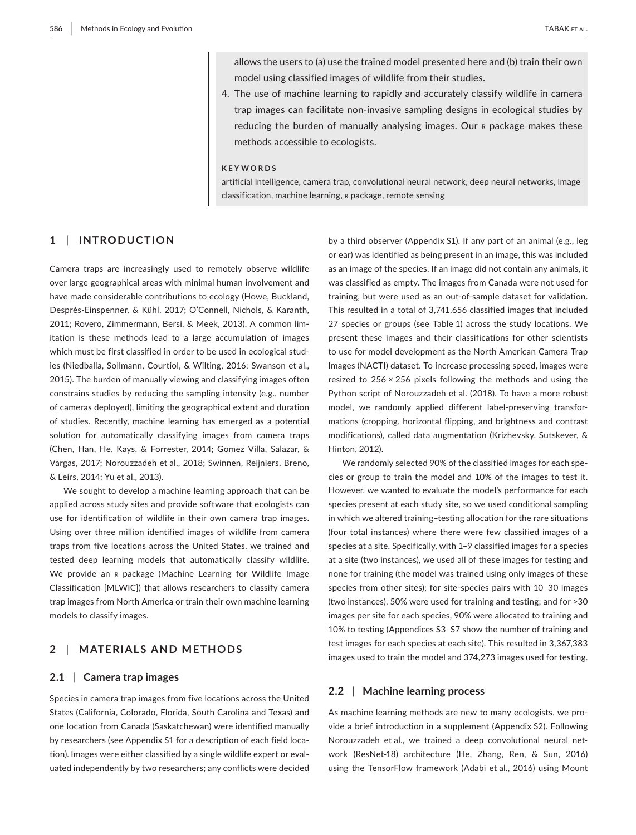allows the users to (a) use the trained model presented here and (b) train their own model using classified images of wildlife from their studies.

4. The use of machine learning to rapidly and accurately classify wildlife in camera trap images can facilitate non-invasive sampling designs in ecological studies by reducing the burden of manually analysing images. Our R package makes these methods accessible to ecologists.

# **KEYWORDS**

artificial intelligence, camera trap, convolutional neural network, deep neural networks, image classification, machine learning, r package, remote sensing

# **1** | **INTRODUCTION**

Camera traps are increasingly used to remotely observe wildlife over large geographical areas with minimal human involvement and have made considerable contributions to ecology (Howe, Buckland, Després-Einspenner, & Kühl, 2017; O'Connell, Nichols, & Karanth, 2011; Rovero, Zimmermann, Bersi, & Meek, 2013). A common limitation is these methods lead to a large accumulation of images which must be first classified in order to be used in ecological studies (Niedballa, Sollmann, Courtiol, & Wilting, 2016; Swanson et al., 2015). The burden of manually viewing and classifying images often constrains studies by reducing the sampling intensity (e.g., number of cameras deployed), limiting the geographical extent and duration of studies. Recently, machine learning has emerged as a potential solution for automatically classifying images from camera traps (Chen, Han, He, Kays, & Forrester, 2014; Gomez Villa, Salazar, & Vargas, 2017; Norouzzadeh et al., 2018; Swinnen, Reijniers, Breno, & Leirs, 2014; Yu et al., 2013).

We sought to develop a machine learning approach that can be applied across study sites and provide software that ecologists can use for identification of wildlife in their own camera trap images. Using over three million identified images of wildlife from camera traps from five locations across the United States, we trained and tested deep learning models that automatically classify wildlife. We provide an R package (Machine Learning for Wildlife Image Classification [MLWIC]) that allows researchers to classify camera trap images from North America or train their own machine learning models to classify images.

# **2** | **MATERIALS AND METHODS**

#### **2.1** | **Camera trap images**

Species in camera trap images from five locations across the United States (California, Colorado, Florida, South Carolina and Texas) and one location from Canada (Saskatchewan) were identified manually by researchers (see Appendix S1 for a description of each field location). Images were either classified by a single wildlife expert or evaluated independently by two researchers; any conflicts were decided by a third observer (Appendix S1). If any part of an animal (e.g., leg or ear) was identified as being present in an image, this was included as an image of the species. If an image did not contain any animals, it was classified as empty. The images from Canada were not used for training, but were used as an out-of-sample dataset for validation. This resulted in a total of 3,741,656 classified images that included 27 species or groups (see Table 1) across the study locations. We present these images and their classifications for other scientists to use for model development as the North American Camera Trap Images (NACTI) dataset. To increase processing speed, images were resized to  $256 \times 256$  pixels following the methods and using the Python script of Norouzzadeh et al. (2018). To have a more robust model, we randomly applied different label-preserving transformations (cropping, horizontal flipping, and brightness and contrast modifications), called data augmentation (Krizhevsky, Sutskever, & Hinton, 2012).

We randomly selected 90% of the classified images for each species or group to train the model and 10% of the images to test it. However, we wanted to evaluate the model's performance for each species present at each study site, so we used conditional sampling in which we altered training–testing allocation for the rare situations (four total instances) where there were few classified images of a species at a site. Specifically, with 1–9 classified images for a species at a site (two instances), we used all of these images for testing and none for training (the model was trained using only images of these species from other sites); for site-species pairs with 10–30 images (two instances), 50% were used for training and testing; and for >30 images per site for each species, 90% were allocated to training and 10% to testing (Appendices S3–S7 show the number of training and test images for each species at each site). This resulted in 3,367,383 images used to train the model and 374,273 images used for testing.

### **2.2** | **Machine learning process**

As machine learning methods are new to many ecologists, we provide a brief introduction in a supplement (Appendix S2). Following Norouzzadeh et al., we trained a deep convolutional neural network (ResNet-18) architecture (He, Zhang, Ren, & Sun, 2016) using the TensorFlow framework (Adabi et al., 2016) using Mount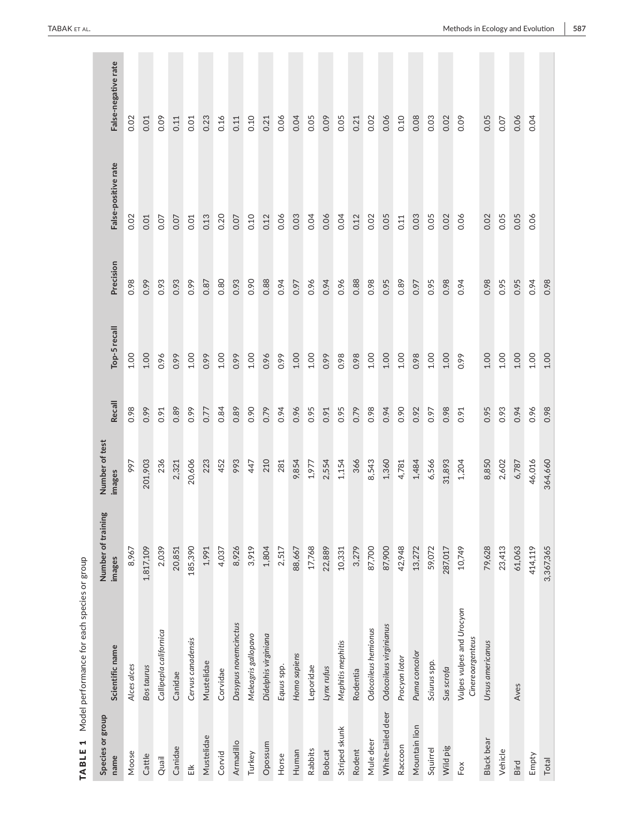| $\blacksquare$<br><b>TABLE</b> | Model performance for each species or group   |                              |                          |        |              |           |                     |                     |
|--------------------------------|-----------------------------------------------|------------------------------|--------------------------|--------|--------------|-----------|---------------------|---------------------|
| Species or group<br>name       | Scientific name                               | Number of training<br>images | Number of test<br>images | Recall | Top-5 recall | Precision | False-positive rate | False-negative rate |
| Moose                          | Alces alces                                   | 8,967                        | 997                      | 0.98   | $1.00\,$     | 0.98      | 0.02                | 0.02                |
| Cattle                         | <b>Bostaurus</b>                              | 1,817,109                    | 201,903                  | 0.99   | 1.00         | 0.99      | 0.01                | 0.01                |
| Quail                          | Callipepla californica                        | 2,039                        | 236                      | 0.91   | 0.96         | 0.93      | 0.07                | 0.09                |
| Canidae                        | Canidae                                       | 20,851                       | 2,321                    | 0.89   | 0.99         | 0.93      | 0.07                | 0.11                |
| $\tilde{\equiv}$               | Cervus canadensis                             | 185,390                      | 20,606                   | 0.99   | 1.00         | 0.99      | 0.01                | 0.01                |
| Mustelidae                     | Mustelidae                                    | 1,991                        | 223                      | 0.77   | 0.99         | 0.87      | 0.13                | 0.23                |
| Corvid                         | Corvidae                                      | 4,037                        | 452                      | 0.84   | $1.00$       | 0.80      | 0.20                | 0.16                |
| Armadillo                      | Dasypus novemcinctus                          | 8,926                        | 993                      | 0.89   | 0.99         | 0.93      | 0.07                | 0.11                |
| Turkey                         | Meleagris gallopavo                           | 3,919                        | 447                      | 0.90   | 1.00         | 0.90      | 0.10                | 0.10                |
| Opossum                        | Didelphis virginiana                          | 1,804                        | 210                      | 0.79   | 0.96         | 0.88      | 0.12                | 0.21                |
| Horse                          | Equus spp.                                    | 2,517                        | 281                      | 0.94   | 0.99         | 0.94      | 0.06                | 0.06                |
| Human                          | Homo sapiens                                  | 88,667                       | 9,854                    | 0.96   | 1.00         | 0.97      | 0.03                | 0.04                |
| Rabbits                        | Leporidae                                     | 17,768                       | 1,977                    | 0.95   | $1.00$       | 0.96      | 0.04                | 0.05                |
| <b>Bobcat</b>                  | Lynxrufus                                     | 22,889                       | 2,554                    | 0.91   | 0.99         | 0.94      | 0.06                | 0.09                |
| Striped skunk                  | Mephitis mephitis                             | 10,331                       | 1,154                    | 0.95   | 0.98         | 0.96      | 0.04                | 0.05                |
| Rodent                         | Rodentia                                      | 3,279                        | 366                      | 0.79   | 0.98         | 0.88      | 0.12                | 0.21                |
| Mule deer                      | Odocoileus hemionus                           | 87,700                       | 8,543                    | 0.98   | 1.00         | 0.98      | 0.02                | 0.02                |
| White-tailed deer              | Odocoileus virginianus                        | 87,900                       | 1,360                    | 0.94   | 1.00         | 0.95      | 0.05                | 0.06                |
| Raccoon                        | Procyon lotor                                 | 42,948                       | 4,781                    | 0.90   | 1.00         | 0.89      | 0.11                | 0.10                |
| Mountain lion                  | Puma concolor                                 | 13,272                       | 1,484                    | 0.92   | 0.98         | 0.97      | 0.03                | 0.08                |
| Squirrel                       | Sciurus spp.                                  | 59,072                       | 6,566                    | 0.97   | 1.00         | 0.95      | 0.05                | 0.03                |
| Wild pig                       | Sus scrofa                                    | 287,017                      | 31,893                   | 0.98   | 1.00         | 0.98      | 0.02                | 0.02                |
| Fox                            | Vulpes vulpes and Urocyon<br>Cinereoargenteus | 10,749                       | 1,204                    | 0.91   | 0.99         | 0.94      | 0.06                | 0.09                |
| Black bear                     | Ursus americanus                              | 79,628                       | 8,850                    | 0.95   | 1.00         | 0.98      | 0.02                | 0.05                |
| Vehicle                        |                                               | 23,413                       | 2,602                    | 0.93   | 1.00         | 0.95      | 0.05                | 0.07                |
| Bird                           | Aves                                          | 61,063                       | 6,787                    | 0.94   | 1.00         | 0.95      | 0.05                | 0.06                |
| Empty                          |                                               | 414,119                      | 46,016                   | 0.96   | 1.00         | 0.94      | 0.06                | 0.04                |
| Total                          |                                               | 3,367,365                    | 364,660                  | 0.98   | 1.00         | 0.98      |                     |                     |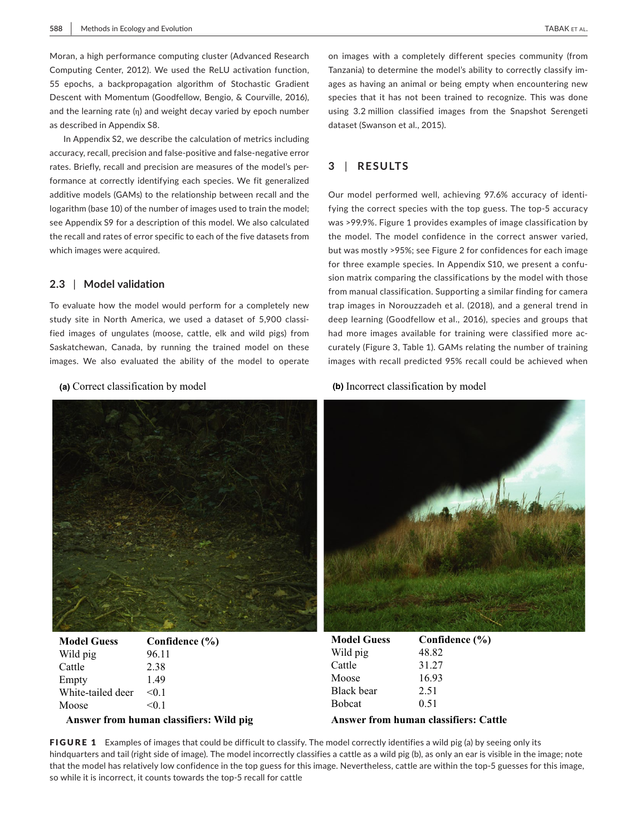Moran, a high performance computing cluster (Advanced Research Computing Center, 2012). We used the ReLU activation function, 55 epochs, a backpropagation algorithm of Stochastic Gradient Descent with Momentum (Goodfellow, Bengio, & Courville, 2016), and the learning rate  $(n)$  and weight decay varied by epoch number as described in Appendix S8.

In Appendix S2, we describe the calculation of metrics including accuracy, recall, precision and false-positive and false-negative error rates. Briefly, recall and precision are measures of the model's performance at correctly identifying each species. We fit generalized additive models (GAMs) to the relationship between recall and the logarithm (base 10) of the number of images used to train the model; see Appendix S9 for a description of this model. We also calculated the recall and rates of error specific to each of the five datasets from which images were acquired.

# **2.3** | **Model validation**

To evaluate how the model would perform for a completely new study site in North America, we used a dataset of 5,900 classified images of ungulates (moose, cattle, elk and wild pigs) from Saskatchewan, Canada, by running the trained model on these images. We also evaluated the ability of the model to operate



| <b>Model Guess</b> | Confidence (%) |
|--------------------|----------------|
| Wild pig           | 96.11          |
| Cattle             | 2.38           |
| Empty              | 1.49           |
| White-tailed deer  | < 0.1          |
| Moose              | < 01           |

#### **Answer from human classifiers: Wild pig Answer from human classifiers: Cattle**

on images with a completely different species community (from Tanzania) to determine the model's ability to correctly classify images as having an animal or being empty when encountering new species that it has not been trained to recognize. This was done using 3.2 million classified images from the Snapshot Serengeti dataset (Swanson et al., 2015).

# **3** | **RESULTS**

Our model performed well, achieving 97.6% accuracy of identifying the correct species with the top guess. The top-5 accuracy was >99.9%. Figure 1 provides examples of image classification by the model. The model confidence in the correct answer varied, but was mostly >95%; see Figure 2 for confidences for each image for three example species. In Appendix S10, we present a confusion matrix comparing the classifications by the model with those from manual classification. Supporting a similar finding for camera trap images in Norouzzadeh et al. (2018), and a general trend in deep learning (Goodfellow et al., 2016), species and groups that had more images available for training were classified more accurately (Figure 3, Table 1). GAMs relating the number of training images with recall predicted 95% recall could be achieved when

### **(a)** Correct classification by model **(b)** Incorrect classification by model



| <b>Model Guess</b> | Confidence $(\% )$ |
|--------------------|--------------------|
| Wild pig           | 48.82              |
| Cattle             | 31.27              |
| Moose              | 16.93              |
| <b>Black</b> bear  | 2.51               |
| <b>B</b> obcat     | 0.51               |
|                    |                    |

FIGURE 1 Examples of images that could be difficult to classify. The model correctly identifies a wild pig (a) by seeing only its hindquarters and tail (right side of image). The model incorrectly classifies a cattle as a wild pig (b), as only an ear is visible in the image; note that the model has relatively low confidence in the top guess for this image. Nevertheless, cattle are within the top-5 guesses for this image, so while it is incorrect, it counts towards the top-5 recall for cattle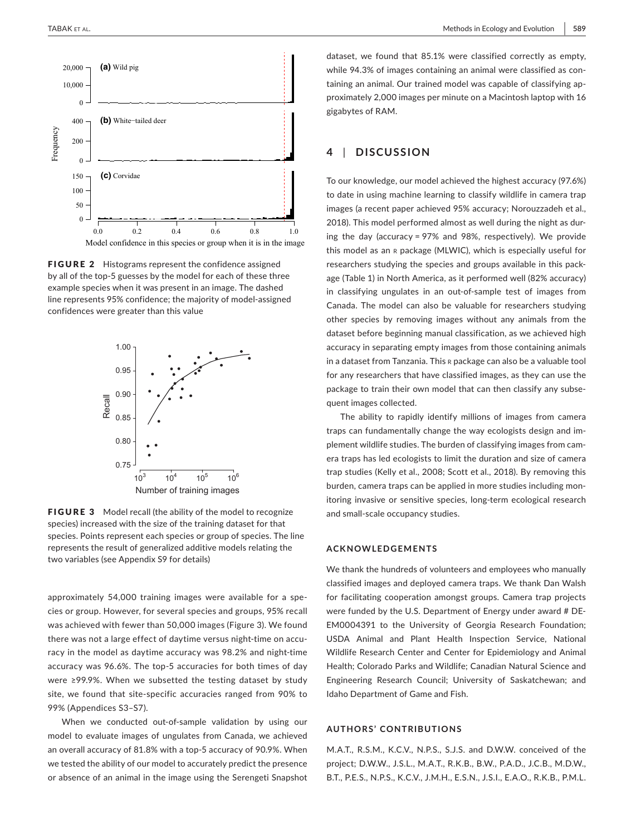

**FIGURE 2** Histograms represent the confidence assigned by all of the top-5 guesses by the model for each of these three example species when it was present in an image. The dashed line represents 95% confidence; the majority of model-assigned confidences were greater than this value



FIGURE 3 Model recall (the ability of the model to recognize species) increased with the size of the training dataset for that species. Points represent each species or group of species. The line represents the result of generalized additive models relating the two variables (see Appendix S9 for details)

approximately 54,000 training images were available for a species or group. However, for several species and groups, 95% recall was achieved with fewer than 50,000 images (Figure 3). We found there was not a large effect of daytime versus night-time on accuracy in the model as daytime accuracy was 98.2% and night-time accuracy was 96.6%. The top-5 accuracies for both times of day were ≥99.9%. When we subsetted the testing dataset by study site, we found that site-specific accuracies ranged from 90% to 99% (Appendices S3–S7).

When we conducted out-of-sample validation by using our model to evaluate images of ungulates from Canada, we achieved an overall accuracy of 81.8% with a top-5 accuracy of 90.9%. When we tested the ability of our model to accurately predict the presence or absence of an animal in the image using the Serengeti Snapshot dataset, we found that 85.1% were classified correctly as empty, while 94.3% of images containing an animal were classified as containing an animal. Our trained model was capable of classifying approximately 2,000 images per minute on a Macintosh laptop with 16 gigabytes of RAM.

# **4** | **DISCUSSION**

To our knowledge, our model achieved the highest accuracy (97.6%) to date in using machine learning to classify wildlife in camera trap images (a recent paper achieved 95% accuracy; Norouzzadeh et al., 2018). This model performed almost as well during the night as during the day (accuracy = 97% and 98%, respectively). We provide this model as an r package (MLWIC), which is especially useful for researchers studying the species and groups available in this package (Table 1) in North America, as it performed well (82% accuracy) in classifying ungulates in an out-of-sample test of images from Canada. The model can also be valuable for researchers studying other species by removing images without any animals from the dataset before beginning manual classification, as we achieved high accuracy in separating empty images from those containing animals in a dataset from Tanzania. This <sup>r</sup> package can also be a valuable tool for any researchers that have classified images, as they can use the package to train their own model that can then classify any subsequent images collected.

The ability to rapidly identify millions of images from camera traps can fundamentally change the way ecologists design and implement wildlife studies. The burden of classifying images from camera traps has led ecologists to limit the duration and size of camera trap studies (Kelly et al., 2008; Scott et al., 2018). By removing this burden, camera traps can be applied in more studies including monitoring invasive or sensitive species, long-term ecological research and small-scale occupancy studies.

#### **ACKNOWLEDGEMENTS**

We thank the hundreds of volunteers and employees who manually classified images and deployed camera traps. We thank Dan Walsh for facilitating cooperation amongst groups. Camera trap projects were funded by the U.S. Department of Energy under award # DE-EM0004391 to the University of Georgia Research Foundation; USDA Animal and Plant Health Inspection Service, National Wildlife Research Center and Center for Epidemiology and Animal Health; Colorado Parks and Wildlife; Canadian Natural Science and Engineering Research Council; University of Saskatchewan; and Idaho Department of Game and Fish.

#### **AUTHORS' CONTRIBUTIONS**

M.A.T., R.S.M., K.C.V., N.P.S., S.J.S. and D.W.W. conceived of the project; D.W.W., J.S.L., M.A.T., R.K.B., B.W., P.A.D., J.C.B., M.D.W., B.T., P.E.S., N.P.S., K.C.V., J.M.H., E.S.N., J.S.I., E.A.O., R.K.B., P.M.L.